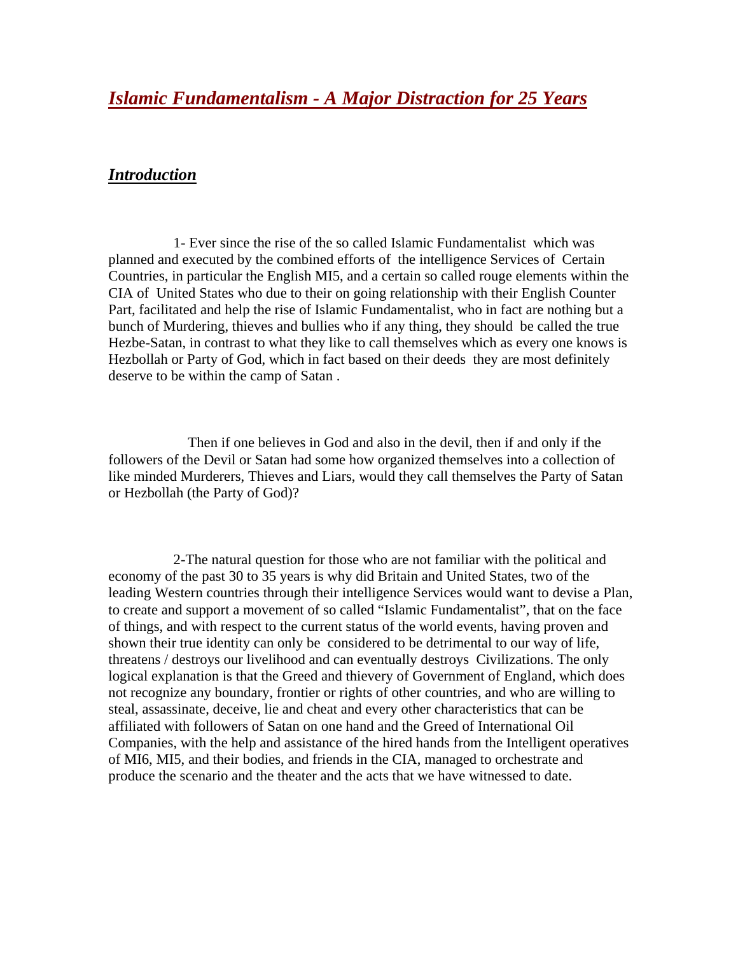*Islamic Fundamentalism - A Major Distraction for 25 Years*

## *Introduction*

 1- Ever since the rise of the so called Islamic Fundamentalist which was planned and executed by the combined efforts of the intelligence Services of Certain Countries, in particular the English MI5, and a certain so called rouge elements within the CIA of United States who due to their on going relationship with their English Counter Part, facilitated and help the rise of Islamic Fundamentalist, who in fact are nothing but a bunch of Murdering, thieves and bullies who if any thing, they should be called the true Hezbe-Satan, in contrast to what they like to call themselves which as every one knows is Hezbollah or Party of God, which in fact based on their deeds they are most definitely deserve to be within the camp of Satan .

 Then if one believes in God and also in the devil, then if and only if the followers of the Devil or Satan had some how organized themselves into a collection of like minded Murderers, Thieves and Liars, would they call themselves the Party of Satan or Hezbollah (the Party of God)?

 2-The natural question for those who are not familiar with the political and economy of the past 30 to 35 years is why did Britain and United States, two of the leading Western countries through their intelligence Services would want to devise a Plan, to create and support a movement of so called "Islamic Fundamentalist", that on the face of things, and with respect to the current status of the world events, having proven and shown their true identity can only be considered to be detrimental to our way of life, threatens / destroys our livelihood and can eventually destroys Civilizations. The only logical explanation is that the Greed and thievery of Government of England, which does not recognize any boundary, frontier or rights of other countries, and who are willing to steal, assassinate, deceive, lie and cheat and every other characteristics that can be affiliated with followers of Satan on one hand and the Greed of International Oil Companies, with the help and assistance of the hired hands from the Intelligent operatives of MI6, MI5, and their bodies, and friends in the CIA, managed to orchestrate and produce the scenario and the theater and the acts that we have witnessed to date.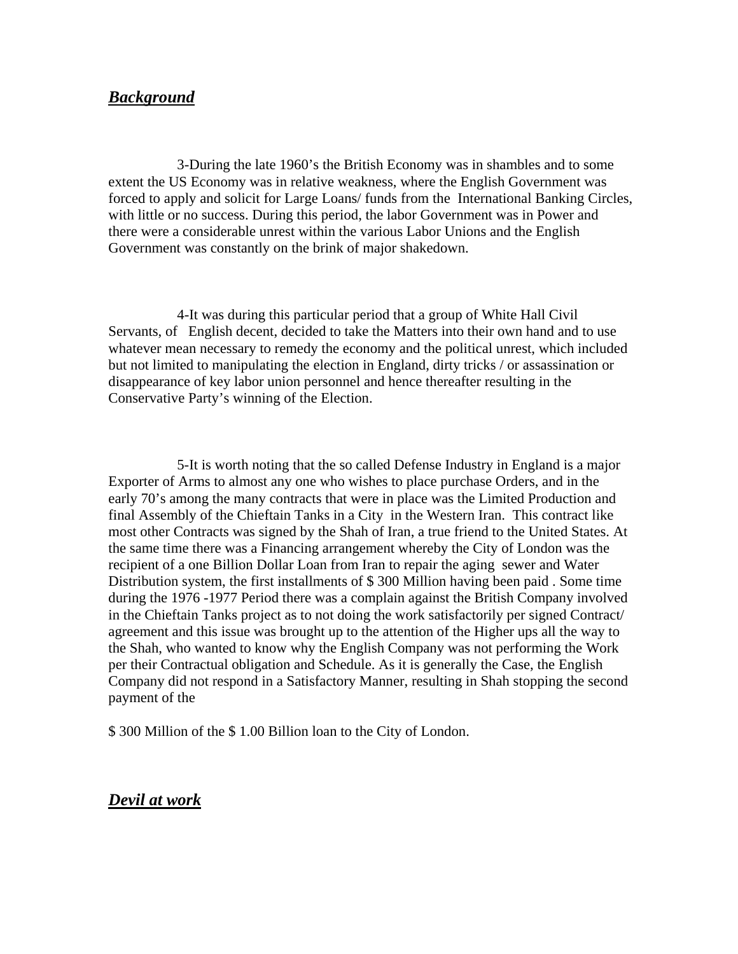## *Background*

 3-During the late 1960's the British Economy was in shambles and to some extent the US Economy was in relative weakness, where the English Government was forced to apply and solicit for Large Loans/ funds from the International Banking Circles, with little or no success. During this period, the labor Government was in Power and there were a considerable unrest within the various Labor Unions and the English Government was constantly on the brink of major shakedown.

 4-It was during this particular period that a group of White Hall Civil Servants, of English decent, decided to take the Matters into their own hand and to use whatever mean necessary to remedy the economy and the political unrest, which included but not limited to manipulating the election in England, dirty tricks / or assassination or disappearance of key labor union personnel and hence thereafter resulting in the Conservative Party's winning of the Election.

 5-It is worth noting that the so called Defense Industry in England is a major Exporter of Arms to almost any one who wishes to place purchase Orders, and in the early 70's among the many contracts that were in place was the Limited Production and final Assembly of the Chieftain Tanks in a City in the Western Iran. This contract like most other Contracts was signed by the Shah of Iran, a true friend to the United States. At the same time there was a Financing arrangement whereby the City of London was the recipient of a one Billion Dollar Loan from Iran to repair the aging sewer and Water Distribution system, the first installments of \$ 300 Million having been paid . Some time during the 1976 -1977 Period there was a complain against the British Company involved in the Chieftain Tanks project as to not doing the work satisfactorily per signed Contract/ agreement and this issue was brought up to the attention of the Higher ups all the way to the Shah, who wanted to know why the English Company was not performing the Work per their Contractual obligation and Schedule. As it is generally the Case, the English Company did not respond in a Satisfactory Manner, resulting in Shah stopping the second payment of the

\$ 300 Million of the \$ 1.00 Billion loan to the City of London.

## *Devil at work*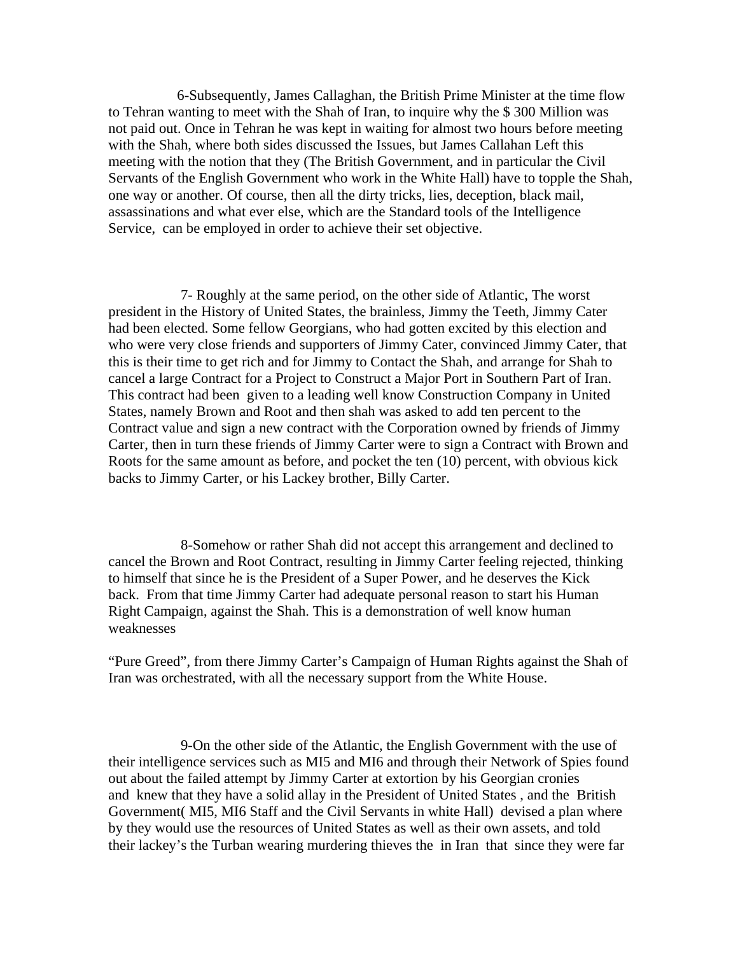6-Subsequently, James Callaghan, the British Prime Minister at the time flow to Tehran wanting to meet with the Shah of Iran, to inquire why the \$ 300 Million was not paid out. Once in Tehran he was kept in waiting for almost two hours before meeting with the Shah, where both sides discussed the Issues, but James Callahan Left this meeting with the notion that they (The British Government, and in particular the Civil Servants of the English Government who work in the White Hall) have to topple the Shah, one way or another. Of course, then all the dirty tricks, lies, deception, black mail, assassinations and what ever else, which are the Standard tools of the Intelligence Service, can be employed in order to achieve their set objective.

 7- Roughly at the same period, on the other side of Atlantic, The worst president in the History of United States, the brainless, Jimmy the Teeth, Jimmy Cater had been elected. Some fellow Georgians, who had gotten excited by this election and who were very close friends and supporters of Jimmy Cater, convinced Jimmy Cater, that this is their time to get rich and for Jimmy to Contact the Shah, and arrange for Shah to cancel a large Contract for a Project to Construct a Major Port in Southern Part of Iran. This contract had been given to a leading well know Construction Company in United States, namely Brown and Root and then shah was asked to add ten percent to the Contract value and sign a new contract with the Corporation owned by friends of Jimmy Carter, then in turn these friends of Jimmy Carter were to sign a Contract with Brown and Roots for the same amount as before, and pocket the ten (10) percent, with obvious kick backs to Jimmy Carter, or his Lackey brother, Billy Carter.

 8-Somehow or rather Shah did not accept this arrangement and declined to cancel the Brown and Root Contract, resulting in Jimmy Carter feeling rejected, thinking to himself that since he is the President of a Super Power, and he deserves the Kick back. From that time Jimmy Carter had adequate personal reason to start his Human Right Campaign, against the Shah. This is a demonstration of well know human weaknesses

"Pure Greed", from there Jimmy Carter's Campaign of Human Rights against the Shah of Iran was orchestrated, with all the necessary support from the White House.

 9-On the other side of the Atlantic, the English Government with the use of their intelligence services such as MI5 and MI6 and through their Network of Spies found out about the failed attempt by Jimmy Carter at extortion by his Georgian cronies and knew that they have a solid allay in the President of United States , and the British Government( MI5, MI6 Staff and the Civil Servants in white Hall) devised a plan where by they would use the resources of United States as well as their own assets, and told their lackey's the Turban wearing murdering thieves the in Iran that since they were far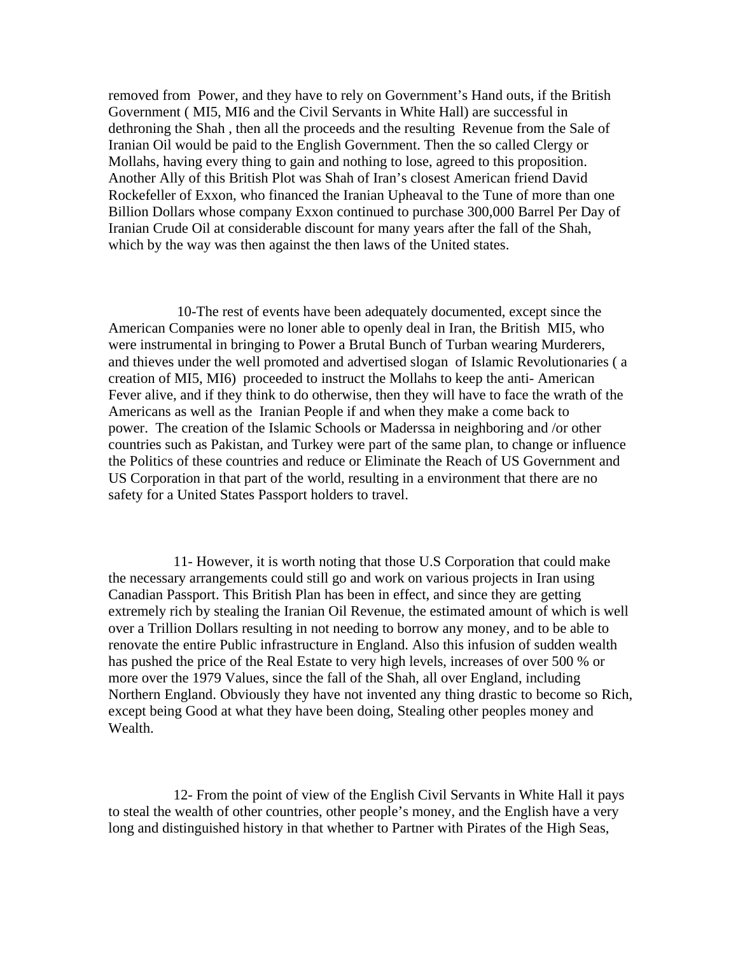removed from Power, and they have to rely on Government's Hand outs, if the British Government ( MI5, MI6 and the Civil Servants in White Hall) are successful in dethroning the Shah , then all the proceeds and the resulting Revenue from the Sale of Iranian Oil would be paid to the English Government. Then the so called Clergy or Mollahs, having every thing to gain and nothing to lose, agreed to this proposition. Another Ally of this British Plot was Shah of Iran's closest American friend David Rockefeller of Exxon, who financed the Iranian Upheaval to the Tune of more than one Billion Dollars whose company Exxon continued to purchase 300,000 Barrel Per Day of Iranian Crude Oil at considerable discount for many years after the fall of the Shah, which by the way was then against the then laws of the United states.

 10-The rest of events have been adequately documented, except since the American Companies were no loner able to openly deal in Iran, the British MI5, who were instrumental in bringing to Power a Brutal Bunch of Turban wearing Murderers, and thieves under the well promoted and advertised slogan of Islamic Revolutionaries ( a creation of MI5, MI6) proceeded to instruct the Mollahs to keep the anti- American Fever alive, and if they think to do otherwise, then they will have to face the wrath of the Americans as well as the Iranian People if and when they make a come back to power. The creation of the Islamic Schools or Maderssa in neighboring and /or other countries such as Pakistan, and Turkey were part of the same plan, to change or influence the Politics of these countries and reduce or Eliminate the Reach of US Government and US Corporation in that part of the world, resulting in a environment that there are no safety for a United States Passport holders to travel.

 11- However, it is worth noting that those U.S Corporation that could make the necessary arrangements could still go and work on various projects in Iran using Canadian Passport. This British Plan has been in effect, and since they are getting extremely rich by stealing the Iranian Oil Revenue, the estimated amount of which is well over a Trillion Dollars resulting in not needing to borrow any money, and to be able to renovate the entire Public infrastructure in England. Also this infusion of sudden wealth has pushed the price of the Real Estate to very high levels, increases of over 500 % or more over the 1979 Values, since the fall of the Shah, all over England, including Northern England. Obviously they have not invented any thing drastic to become so Rich, except being Good at what they have been doing, Stealing other peoples money and Wealth.

 12- From the point of view of the English Civil Servants in White Hall it pays to steal the wealth of other countries, other people's money, and the English have a very long and distinguished history in that whether to Partner with Pirates of the High Seas,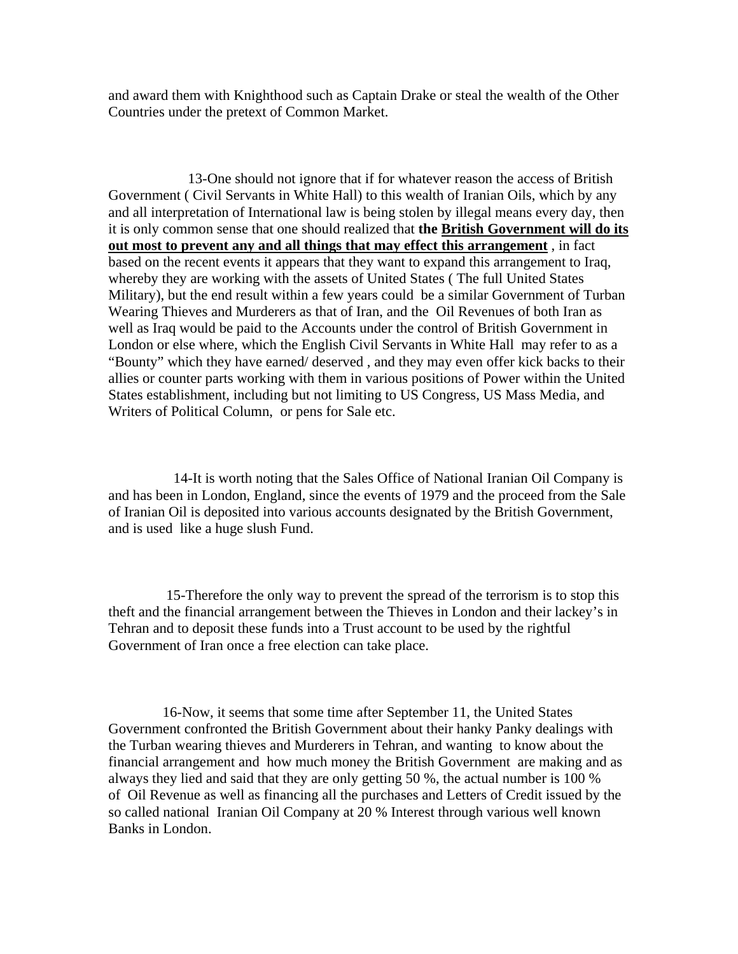and award them with Knighthood such as Captain Drake or steal the wealth of the Other Countries under the pretext of Common Market.

 13-One should not ignore that if for whatever reason the access of British Government ( Civil Servants in White Hall) to this wealth of Iranian Oils, which by any and all interpretation of International law is being stolen by illegal means every day, then it is only common sense that one should realized that **the British Government will do its out most to prevent any and all things that may effect this arrangement** , in fact based on the recent events it appears that they want to expand this arrangement to Iraq, whereby they are working with the assets of United States ( The full United States Military), but the end result within a few years could be a similar Government of Turban Wearing Thieves and Murderers as that of Iran, and the Oil Revenues of both Iran as well as Iraq would be paid to the Accounts under the control of British Government in London or else where, which the English Civil Servants in White Hall may refer to as a "Bounty" which they have earned/ deserved , and they may even offer kick backs to their allies or counter parts working with them in various positions of Power within the United States establishment, including but not limiting to US Congress, US Mass Media, and Writers of Political Column, or pens for Sale etc.

 14-It is worth noting that the Sales Office of National Iranian Oil Company is and has been in London, England, since the events of 1979 and the proceed from the Sale of Iranian Oil is deposited into various accounts designated by the British Government, and is used like a huge slush Fund.

 15-Therefore the only way to prevent the spread of the terrorism is to stop this theft and the financial arrangement between the Thieves in London and their lackey's in Tehran and to deposit these funds into a Trust account to be used by the rightful Government of Iran once a free election can take place.

 16-Now, it seems that some time after September 11, the United States Government confronted the British Government about their hanky Panky dealings with the Turban wearing thieves and Murderers in Tehran, and wanting to know about the financial arrangement and how much money the British Government are making and as always they lied and said that they are only getting 50 %, the actual number is 100 % of Oil Revenue as well as financing all the purchases and Letters of Credit issued by the so called national Iranian Oil Company at 20 % Interest through various well known Banks in London.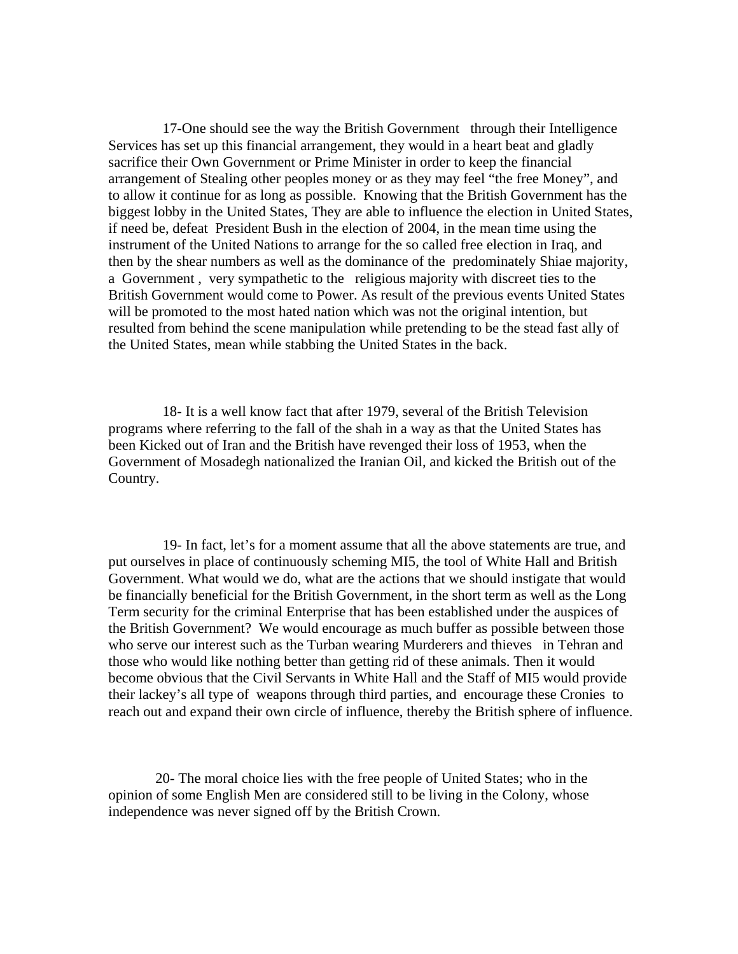17-One should see the way the British Government through their Intelligence Services has set up this financial arrangement, they would in a heart beat and gladly sacrifice their Own Government or Prime Minister in order to keep the financial arrangement of Stealing other peoples money or as they may feel "the free Money", and to allow it continue for as long as possible. Knowing that the British Government has the biggest lobby in the United States, They are able to influence the election in United States, if need be, defeat President Bush in the election of 2004, in the mean time using the instrument of the United Nations to arrange for the so called free election in Iraq, and then by the shear numbers as well as the dominance of the predominately Shiae majority, a Government , very sympathetic to the religious majority with discreet ties to the British Government would come to Power. As result of the previous events United States will be promoted to the most hated nation which was not the original intention, but resulted from behind the scene manipulation while pretending to be the stead fast ally of the United States, mean while stabbing the United States in the back.

 18- It is a well know fact that after 1979, several of the British Television programs where referring to the fall of the shah in a way as that the United States has been Kicked out of Iran and the British have revenged their loss of 1953, when the Government of Mosadegh nationalized the Iranian Oil, and kicked the British out of the Country.

 19- In fact, let's for a moment assume that all the above statements are true, and put ourselves in place of continuously scheming MI5, the tool of White Hall and British Government. What would we do, what are the actions that we should instigate that would be financially beneficial for the British Government, in the short term as well as the Long Term security for the criminal Enterprise that has been established under the auspices of the British Government? We would encourage as much buffer as possible between those who serve our interest such as the Turban wearing Murderers and thieves in Tehran and those who would like nothing better than getting rid of these animals. Then it would become obvious that the Civil Servants in White Hall and the Staff of MI5 would provide their lackey's all type of weapons through third parties, and encourage these Cronies to reach out and expand their own circle of influence, thereby the British sphere of influence.

 20- The moral choice lies with the free people of United States; who in the opinion of some English Men are considered still to be living in the Colony, whose independence was never signed off by the British Crown.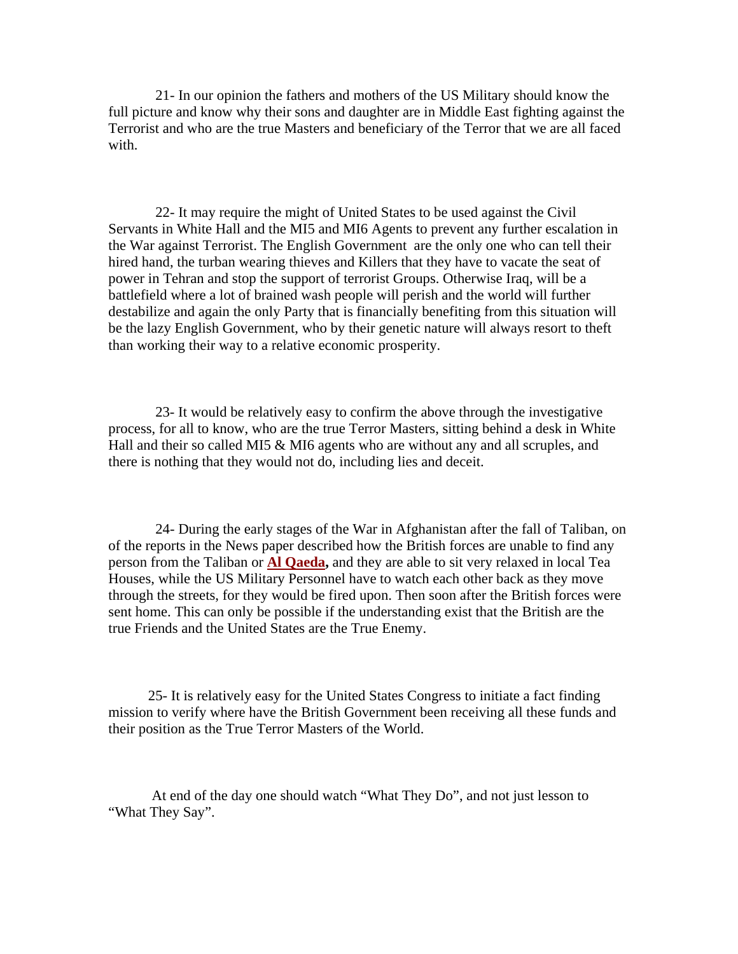21- In our opinion the fathers and mothers of the US Military should know the full picture and know why their sons and daughter are in Middle East fighting against the Terrorist and who are the true Masters and beneficiary of the Terror that we are all faced with.

 22- It may require the might of United States to be used against the Civil Servants in White Hall and the MI5 and MI6 Agents to prevent any further escalation in the War against Terrorist. The English Government are the only one who can tell their hired hand, the turban wearing thieves and Killers that they have to vacate the seat of power in Tehran and stop the support of terrorist Groups. Otherwise Iraq, will be a battlefield where a lot of brained wash people will perish and the world will further destabilize and again the only Party that is financially benefiting from this situation will be the lazy English Government, who by their genetic nature will always resort to theft than working their way to a relative economic prosperity.

 23- It would be relatively easy to confirm the above through the investigative process, for all to know, who are the true Terror Masters, sitting behind a desk in White Hall and their so called MI5 & MI6 agents who are without any and all scruples, and there is nothing that they would not do, including lies and deceit.

 24- During the early stages of the War in Afghanistan after the fall of Taliban, on of the reports in the News paper described how the British forces are unable to find any person from the Taliban or **Al Qaeda,** and they are able to sit very relaxed in local Tea Houses, while the US Military Personnel have to watch each other back as they move through the streets, for they would be fired upon. Then soon after the British forces were sent home. This can only be possible if the understanding exist that the British are the true Friends and the United States are the True Enemy.

 25- It is relatively easy for the United States Congress to initiate a fact finding mission to verify where have the British Government been receiving all these funds and their position as the True Terror Masters of the World.

 At end of the day one should watch "What They Do", and not just lesson to "What They Say".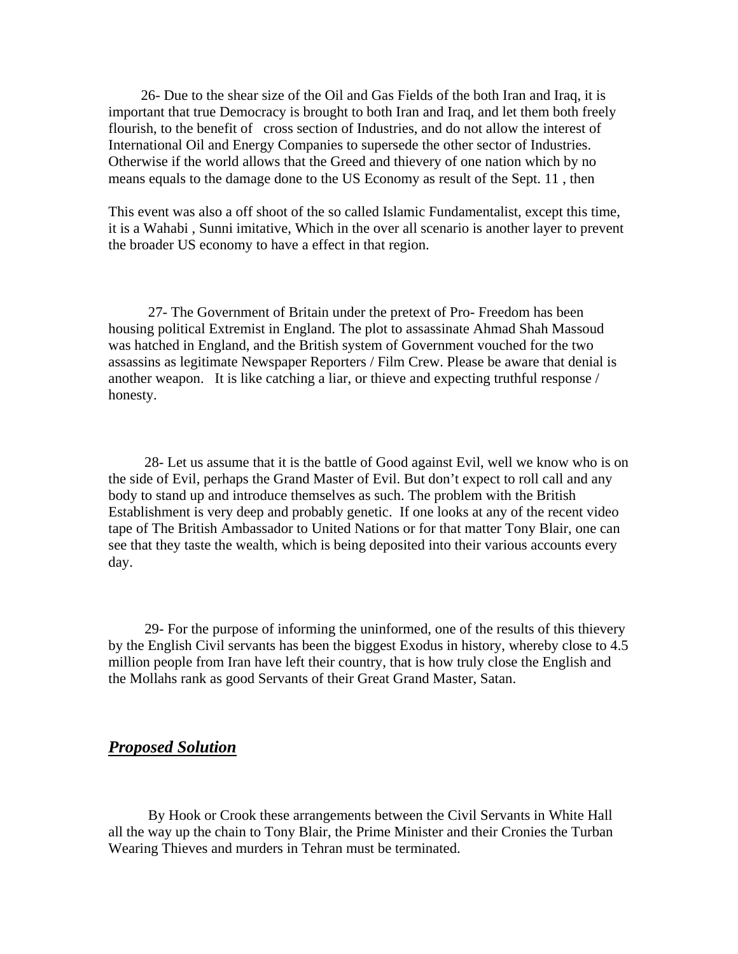26- Due to the shear size of the Oil and Gas Fields of the both Iran and Iraq, it is important that true Democracy is brought to both Iran and Iraq, and let them both freely flourish, to the benefit of cross section of Industries, and do not allow the interest of International Oil and Energy Companies to supersede the other sector of Industries. Otherwise if the world allows that the Greed and thievery of one nation which by no means equals to the damage done to the US Economy as result of the Sept. 11 , then

This event was also a off shoot of the so called Islamic Fundamentalist, except this time, it is a Wahabi , Sunni imitative, Which in the over all scenario is another layer to prevent the broader US economy to have a effect in that region.

 27- The Government of Britain under the pretext of Pro- Freedom has been housing political Extremist in England. The plot to assassinate Ahmad Shah Massoud was hatched in England, and the British system of Government vouched for the two assassins as legitimate Newspaper Reporters / Film Crew. Please be aware that denial is another weapon. It is like catching a liar, or thieve and expecting truthful response / honesty.

 28- Let us assume that it is the battle of Good against Evil, well we know who is on the side of Evil, perhaps the Grand Master of Evil. But don't expect to roll call and any body to stand up and introduce themselves as such. The problem with the British Establishment is very deep and probably genetic. If one looks at any of the recent video tape of The British Ambassador to United Nations or for that matter Tony Blair, one can see that they taste the wealth, which is being deposited into their various accounts every day.

 29- For the purpose of informing the uninformed, one of the results of this thievery by the English Civil servants has been the biggest Exodus in history, whereby close to 4.5 million people from Iran have left their country, that is how truly close the English and the Mollahs rank as good Servants of their Great Grand Master, Satan.

## *Proposed Solution*

 By Hook or Crook these arrangements between the Civil Servants in White Hall all the way up the chain to Tony Blair, the Prime Minister and their Cronies the Turban Wearing Thieves and murders in Tehran must be terminated.